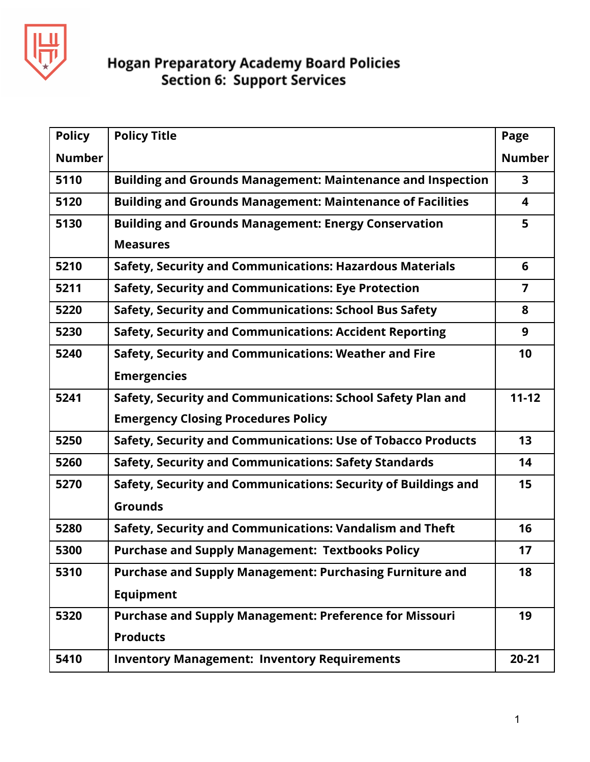

| <b>Policy</b> | <b>Policy Title</b>                                                | Page          |
|---------------|--------------------------------------------------------------------|---------------|
| <b>Number</b> |                                                                    | <b>Number</b> |
| 5110          | <b>Building and Grounds Management: Maintenance and Inspection</b> | 3             |
| 5120          | <b>Building and Grounds Management: Maintenance of Facilities</b>  | 4             |
| 5130          | <b>Building and Grounds Management: Energy Conservation</b>        | 5             |
|               | <b>Measures</b>                                                    |               |
| 5210          | <b>Safety, Security and Communications: Hazardous Materials</b>    | 6             |
| 5211          | <b>Safety, Security and Communications: Eye Protection</b>         | 7             |
| 5220          | Safety, Security and Communications: School Bus Safety             | 8             |
| 5230          | <b>Safety, Security and Communications: Accident Reporting</b>     | 9             |
| 5240          | Safety, Security and Communications: Weather and Fire              | 10            |
|               | <b>Emergencies</b>                                                 |               |
| 5241          | Safety, Security and Communications: School Safety Plan and        | $11 - 12$     |
|               | <b>Emergency Closing Procedures Policy</b>                         |               |
| 5250          | Safety, Security and Communications: Use of Tobacco Products       | 13            |
| 5260          | <b>Safety, Security and Communications: Safety Standards</b>       | 14            |
| 5270          | Safety, Security and Communications: Security of Buildings and     | 15            |
|               | <b>Grounds</b>                                                     |               |
| 5280          | Safety, Security and Communications: Vandalism and Theft           | 16            |
| 5300          | <b>Purchase and Supply Management: Textbooks Policy</b>            | 17            |
| 5310          | <b>Purchase and Supply Management: Purchasing Furniture and</b>    | 18            |
|               | <b>Equipment</b>                                                   |               |
| 5320          | <b>Purchase and Supply Management: Preference for Missouri</b>     | 19            |
|               | <b>Products</b>                                                    |               |
| 5410          | <b>Inventory Management: Inventory Requirements</b>                | $20 - 21$     |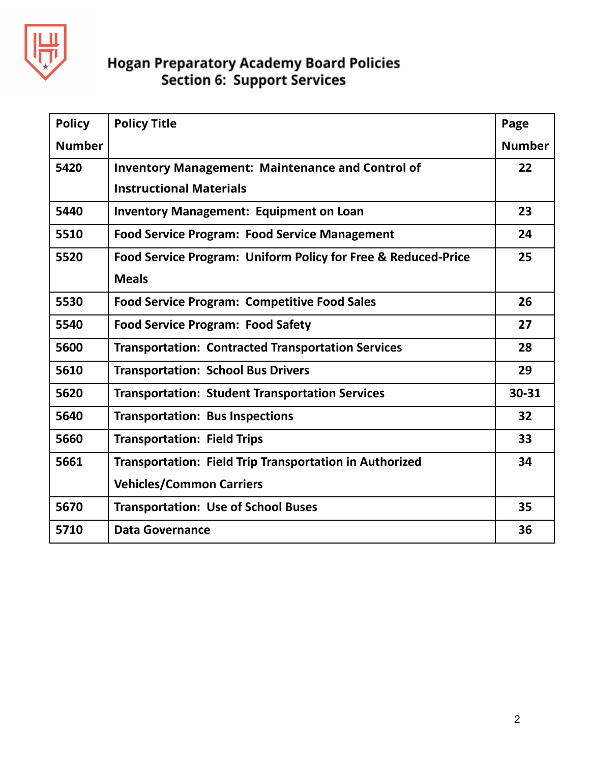

| <b>Policy</b> | <b>Policy Title</b>                                           | Page          |
|---------------|---------------------------------------------------------------|---------------|
| <b>Number</b> |                                                               | <b>Number</b> |
| 5420          | <b>Inventory Management: Maintenance and Control of</b>       | 22            |
|               | <b>Instructional Materials</b>                                |               |
| 5440          | <b>Inventory Management: Equipment on Loan</b>                | 23            |
| 5510          | <b>Food Service Program: Food Service Management</b>          | 24            |
| 5520          | Food Service Program: Uniform Policy for Free & Reduced-Price | 25            |
|               | <b>Meals</b>                                                  |               |
| 5530          | <b>Food Service Program: Competitive Food Sales</b>           | 26            |
| 5540          | <b>Food Service Program: Food Safety</b>                      | 27            |
| 5600          | <b>Transportation: Contracted Transportation Services</b>     | 28            |
| 5610          | <b>Transportation: School Bus Drivers</b>                     | 29            |
| 5620          | <b>Transportation: Student Transportation Services</b>        | 30-31         |
| 5640          | <b>Transportation: Bus Inspections</b>                        | 32            |
| 5660          | <b>Transportation: Field Trips</b>                            | 33            |
| 5661          | Transportation: Field Trip Transportation in Authorized       | 34            |
|               | <b>Vehicles/Common Carriers</b>                               |               |
| 5670          | <b>Transportation: Use of School Buses</b>                    | 35            |
| 5710          | <b>Data Governance</b>                                        | 36            |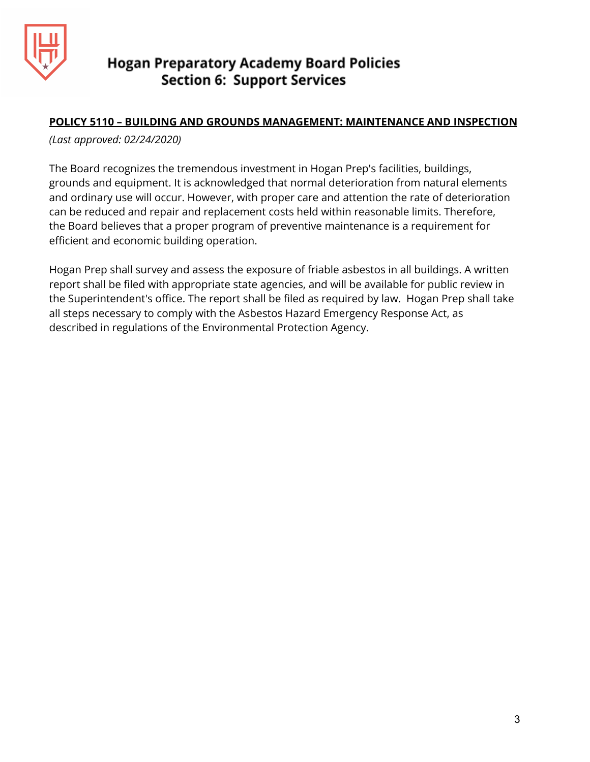

## **POLICY 5110 – BUILDING AND GROUNDS MANAGEMENT: MAINTENANCE AND INSPECTION**

*(Last approved: 02/24/2020)*

The Board recognizes the tremendous investment in Hogan Prep's facilities, buildings, grounds and equipment. It is acknowledged that normal deterioration from natural elements and ordinary use will occur. However, with proper care and attention the rate of deterioration can be reduced and repair and replacement costs held within reasonable limits. Therefore, the Board believes that a proper program of preventive maintenance is a requirement for efficient and economic building operation.

Hogan Prep shall survey and assess the exposure of friable asbestos in all buildings. A written report shall be filed with appropriate state agencies, and will be available for public review in the Superintendent's office. The report shall be filed as required by law. Hogan Prep shall take all steps necessary to comply with the Asbestos Hazard Emergency Response Act, as described in regulations of the Environmental Protection Agency.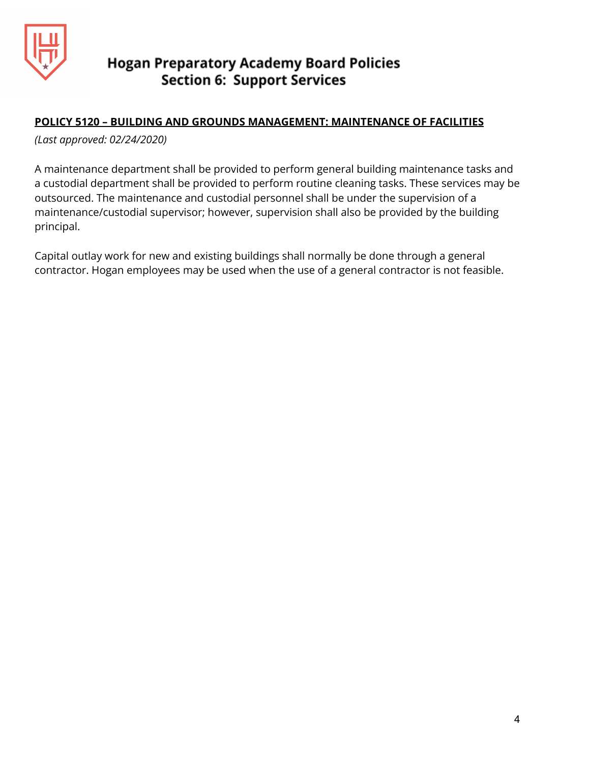

## **POLICY 5120 – BUILDING AND GROUNDS MANAGEMENT: MAINTENANCE OF FACILITIES**

*(Last approved: 02/24/2020)*

A maintenance department shall be provided to perform general building maintenance tasks and a custodial department shall be provided to perform routine cleaning tasks. These services may be outsourced. The maintenance and custodial personnel shall be under the supervision of a maintenance/custodial supervisor; however, supervision shall also be provided by the building principal.

Capital outlay work for new and existing buildings shall normally be done through a general contractor. Hogan employees may be used when the use of a general contractor is not feasible.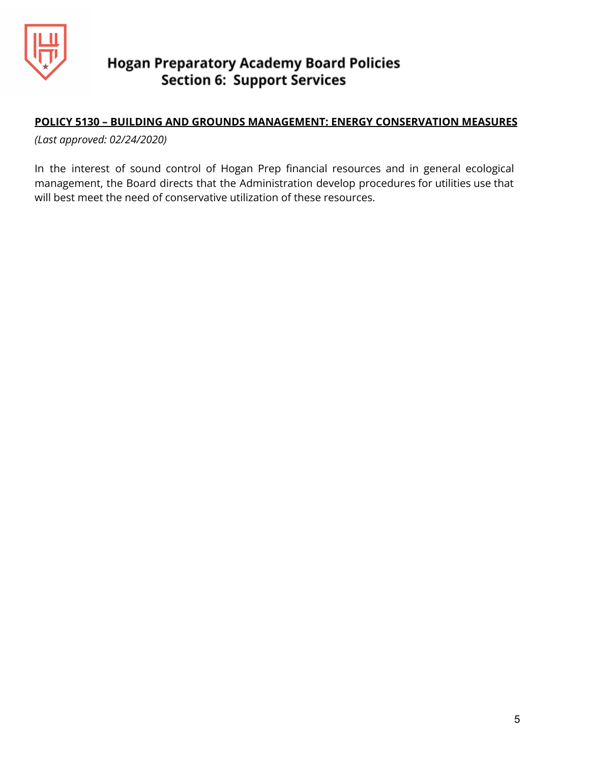

## **POLICY 5130 – BUILDING AND GROUNDS MANAGEMENT: ENERGY CONSERVATION MEASURES**

*(Last approved: 02/24/2020)*

In the interest of sound control of Hogan Prep financial resources and in general ecological management, the Board directs that the Administration develop procedures for utilities use that will best meet the need of conservative utilization of these resources.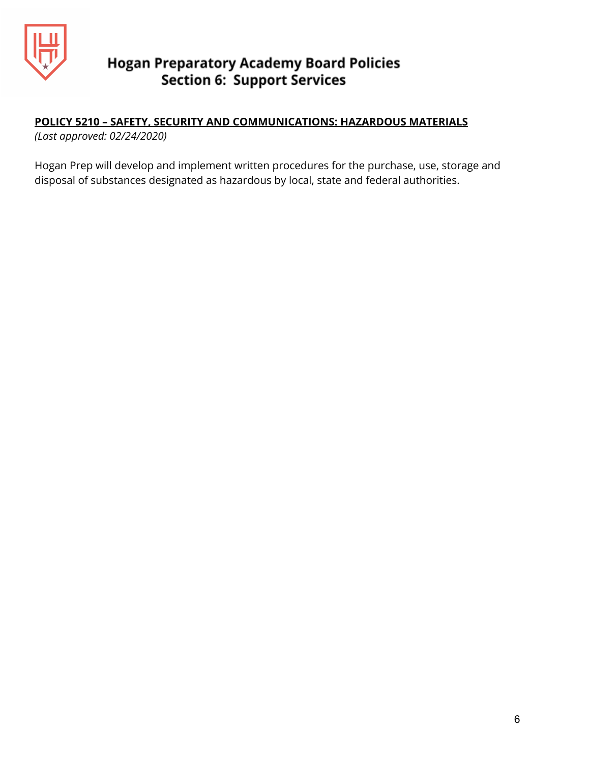

# **POLICY 5210 – SAFETY, SECURITY AND COMMUNICATIONS: HAZARDOUS MATERIALS**

*(Last approved: 02/24/2020)*

Hogan Prep will develop and implement written procedures for the purchase, use, storage and disposal of substances designated as hazardous by local, state and federal authorities.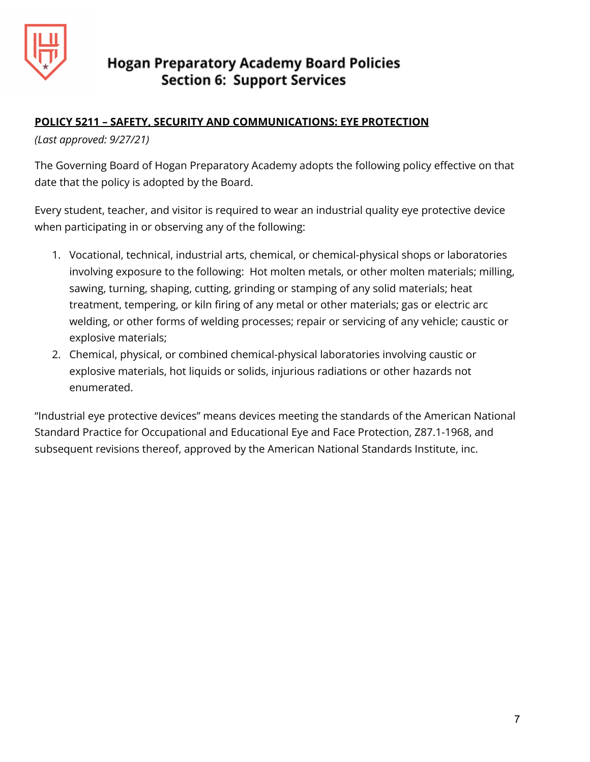

## **POLICY 5211 – SAFETY, SECURITY AND COMMUNICATIONS: EYE PROTECTION**

## *(Last approved: 9/27/21)*

The Governing Board of Hogan Preparatory Academy adopts the following policy effective on that date that the policy is adopted by the Board.

Every student, teacher, and visitor is required to wear an industrial quality eye protective device when participating in or observing any of the following:

- 1. Vocational, technical, industrial arts, chemical, or chemical-physical shops or laboratories involving exposure to the following: Hot molten metals, or other molten materials; milling, sawing, turning, shaping, cutting, grinding or stamping of any solid materials; heat treatment, tempering, or kiln firing of any metal or other materials; gas or electric arc welding, or other forms of welding processes; repair or servicing of any vehicle; caustic or explosive materials;
- 2. Chemical, physical, or combined chemical-physical laboratories involving caustic or explosive materials, hot liquids or solids, injurious radiations or other hazards not enumerated.

"Industrial eye protective devices" means devices meeting the standards of the American National Standard Practice for Occupational and Educational Eye and Face Protection, Z87.1-1968, and subsequent revisions thereof, approved by the American National Standards Institute, inc.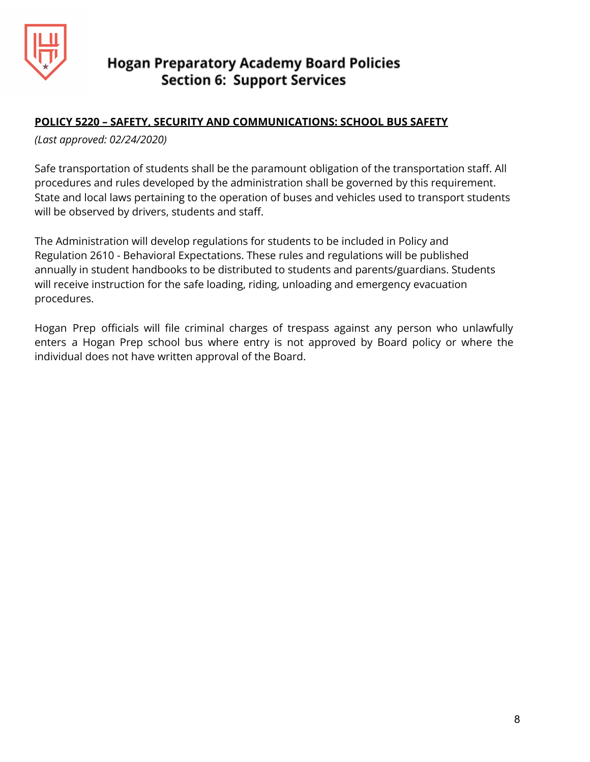

## **POLICY 5220 – SAFETY, SECURITY AND COMMUNICATIONS: SCHOOL BUS SAFETY**

*(Last approved: 02/24/2020)*

Safe transportation of students shall be the paramount obligation of the transportation staff. All procedures and rules developed by the administration shall be governed by this requirement. State and local laws pertaining to the operation of buses and vehicles used to transport students will be observed by drivers, students and staff.

The Administration will develop regulations for students to be included in Policy and Regulation 2610 - Behavioral Expectations. These rules and regulations will be published annually in student handbooks to be distributed to students and parents/guardians. Students will receive instruction for the safe loading, riding, unloading and emergency evacuation procedures.

Hogan Prep officials will file criminal charges of trespass against any person who unlawfully enters a Hogan Prep school bus where entry is not approved by Board policy or where the individual does not have written approval of the Board.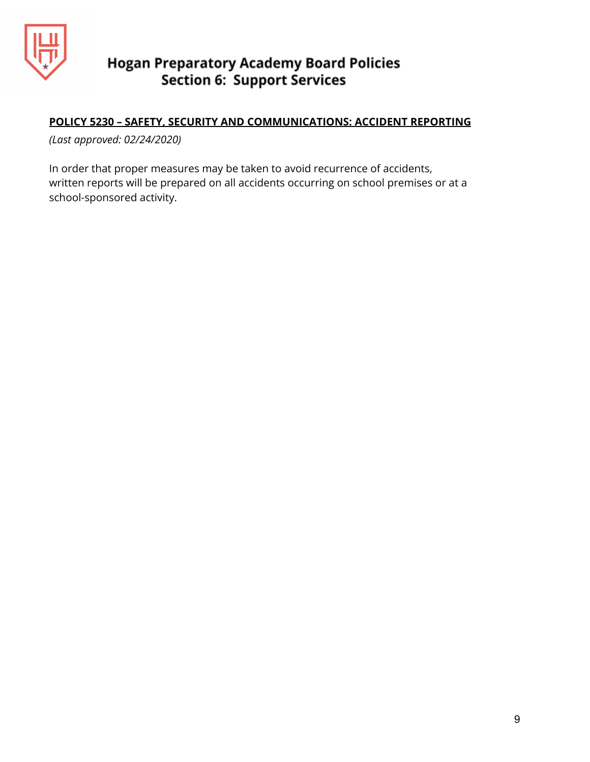

## **POLICY 5230 – SAFETY, SECURITY AND COMMUNICATIONS: ACCIDENT REPORTING**

*(Last approved: 02/24/2020)*

In order that proper measures may be taken to avoid recurrence of accidents, written reports will be prepared on all accidents occurring on school premises or at a school-sponsored activity.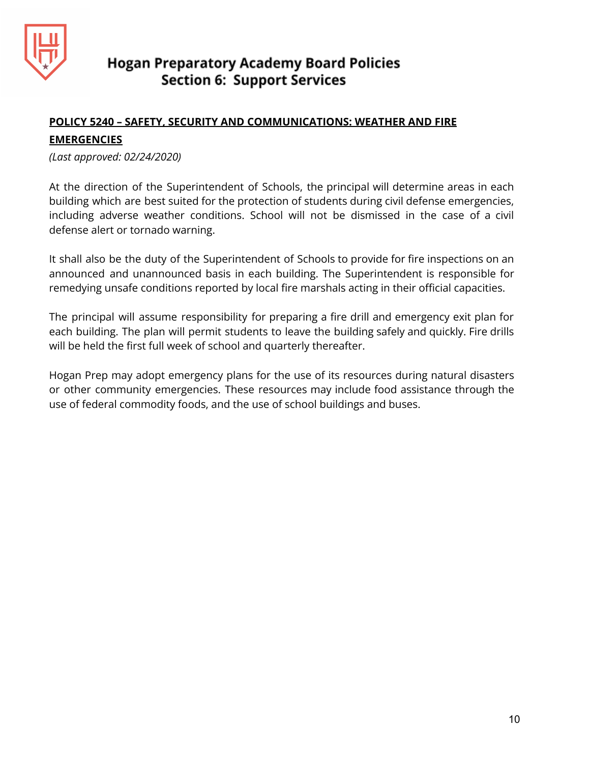

## **POLICY 5240 – SAFETY, SECURITY AND COMMUNICATIONS: WEATHER AND FIRE**

## **EMERGENCIES**

*(Last approved: 02/24/2020)*

At the direction of the Superintendent of Schools, the principal will determine areas in each building which are best suited for the protection of students during civil defense emergencies, including adverse weather conditions. School will not be dismissed in the case of a civil defense alert or tornado warning.

It shall also be the duty of the Superintendent of Schools to provide for fire inspections on an announced and unannounced basis in each building. The Superintendent is responsible for remedying unsafe conditions reported by local fire marshals acting in their official capacities.

The principal will assume responsibility for preparing a fire drill and emergency exit plan for each building. The plan will permit students to leave the building safely and quickly. Fire drills will be held the first full week of school and quarterly thereafter.

Hogan Prep may adopt emergency plans for the use of its resources during natural disasters or other community emergencies. These resources may include food assistance through the use of federal commodity foods, and the use of school buildings and buses.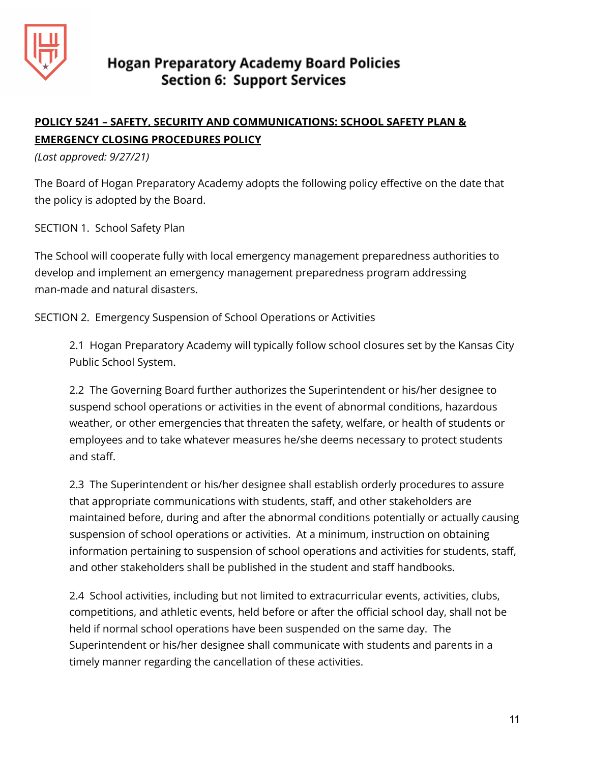

## **POLICY 5241 – SAFETY, SECURITY AND COMMUNICATIONS: SCHOOL SAFETY PLAN & EMERGENCY CLOSING PROCEDURES POLICY**

*(Last approved: 9/27/21)*

The Board of Hogan Preparatory Academy adopts the following policy effective on the date that the policy is adopted by the Board.

SECTION 1. School Safety Plan

The School will cooperate fully with local emergency management preparedness authorities to develop and implement an emergency management preparedness program addressing man-made and natural disasters.

SECTION 2. Emergency Suspension of School Operations or Activities

2.1 Hogan Preparatory Academy will typically follow school closures set by the Kansas City Public School System.

2.2 The Governing Board further authorizes the Superintendent or his/her designee to suspend school operations or activities in the event of abnormal conditions, hazardous weather, or other emergencies that threaten the safety, welfare, or health of students or employees and to take whatever measures he/she deems necessary to protect students and staff.

2.3 The Superintendent or his/her designee shall establish orderly procedures to assure that appropriate communications with students, staff, and other stakeholders are maintained before, during and after the abnormal conditions potentially or actually causing suspension of school operations or activities. At a minimum, instruction on obtaining information pertaining to suspension of school operations and activities for students, staff, and other stakeholders shall be published in the student and staff handbooks.

2.4 School activities, including but not limited to extracurricular events, activities, clubs, competitions, and athletic events, held before or after the official school day, shall not be held if normal school operations have been suspended on the same day. The Superintendent or his/her designee shall communicate with students and parents in a timely manner regarding the cancellation of these activities.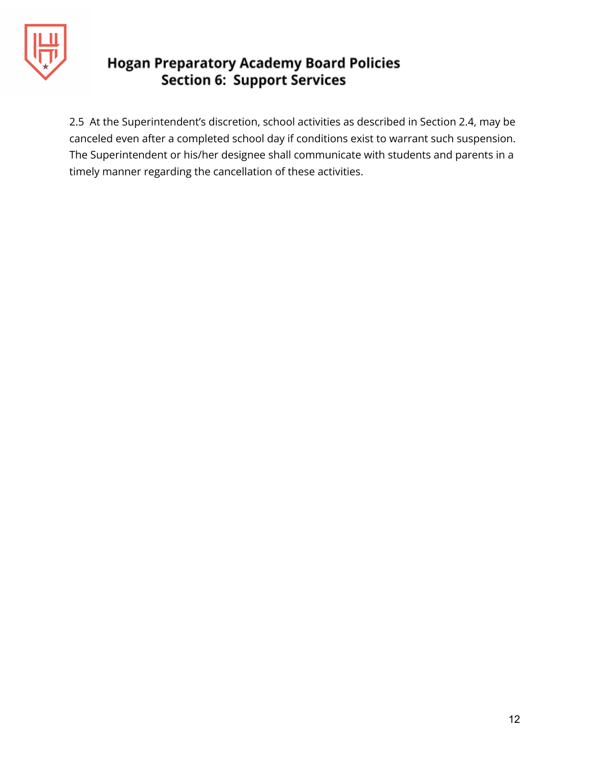

2.5 At the Superintendent's discretion, school activities as described in Section 2.4, may be canceled even after a completed school day if conditions exist to warrant such suspension. The Superintendent or his/her designee shall communicate with students and parents in a timely manner regarding the cancellation of these activities.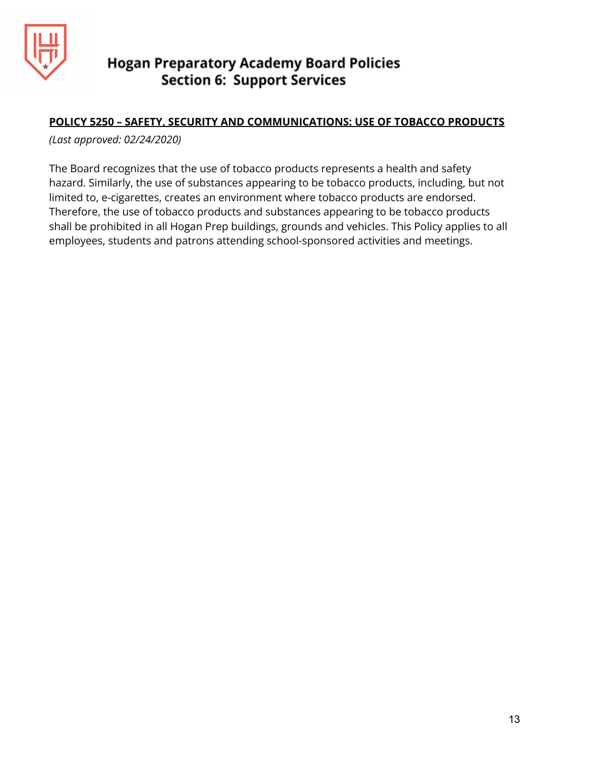

## **POLICY 5250 – SAFETY, SECURITY AND COMMUNICATIONS: USE OF TOBACCO PRODUCTS**

*(Last approved: 02/24/2020)*

The Board recognizes that the use of tobacco products represents a health and safety hazard. Similarly, the use of substances appearing to be tobacco products, including, but not limited to, e-cigarettes, creates an environment where tobacco products are endorsed. Therefore, the use of tobacco products and substances appearing to be tobacco products shall be prohibited in all Hogan Prep buildings, grounds and vehicles. This Policy applies to all employees, students and patrons attending school-sponsored activities and meetings.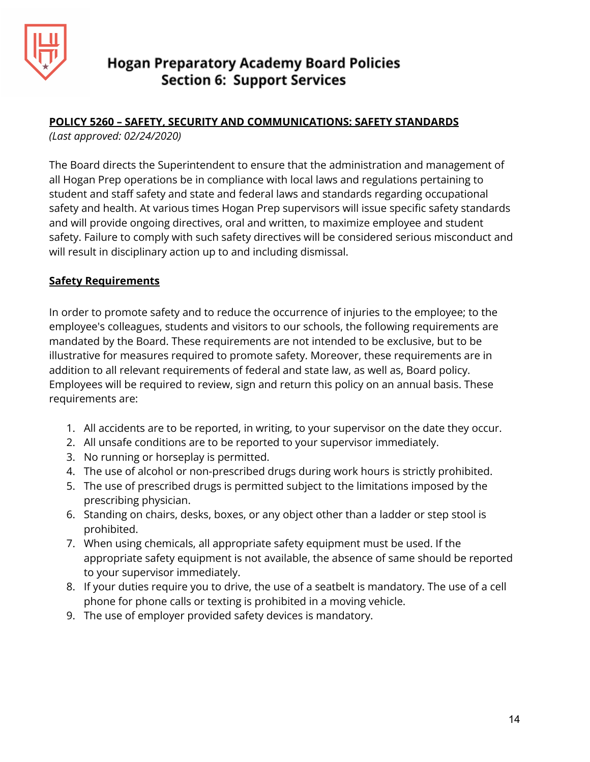

## **POLICY 5260 – SAFETY, SECURITY AND COMMUNICATIONS: SAFETY STANDARDS**

*(Last approved: 02/24/2020)*

The Board directs the Superintendent to ensure that the administration and management of all Hogan Prep operations be in compliance with local laws and regulations pertaining to student and staff safety and state and federal laws and standards regarding occupational safety and health. At various times Hogan Prep supervisors will issue specific safety standards and will provide ongoing directives, oral and written, to maximize employee and student safety. Failure to comply with such safety directives will be considered serious misconduct and will result in disciplinary action up to and including dismissal.

## **Safety Requirements**

In order to promote safety and to reduce the occurrence of injuries to the employee; to the employee's colleagues, students and visitors to our schools, the following requirements are mandated by the Board. These requirements are not intended to be exclusive, but to be illustrative for measures required to promote safety. Moreover, these requirements are in addition to all relevant requirements of federal and state law, as well as, Board policy. Employees will be required to review, sign and return this policy on an annual basis. These requirements are:

- 1. All accidents are to be reported, in writing, to your supervisor on the date they occur.
- 2. All unsafe conditions are to be reported to your supervisor immediately.
- 3. No running or horseplay is permitted.
- 4. The use of alcohol or non-prescribed drugs during work hours is strictly prohibited.
- 5. The use of prescribed drugs is permitted subject to the limitations imposed by the prescribing physician.
- 6. Standing on chairs, desks, boxes, or any object other than a ladder or step stool is prohibited.
- 7. When using chemicals, all appropriate safety equipment must be used. If the appropriate safety equipment is not available, the absence of same should be reported to your supervisor immediately.
- 8. If your duties require you to drive, the use of a seatbelt is mandatory. The use of a cell phone for phone calls or texting is prohibited in a moving vehicle.
- 9. The use of employer provided safety devices is mandatory.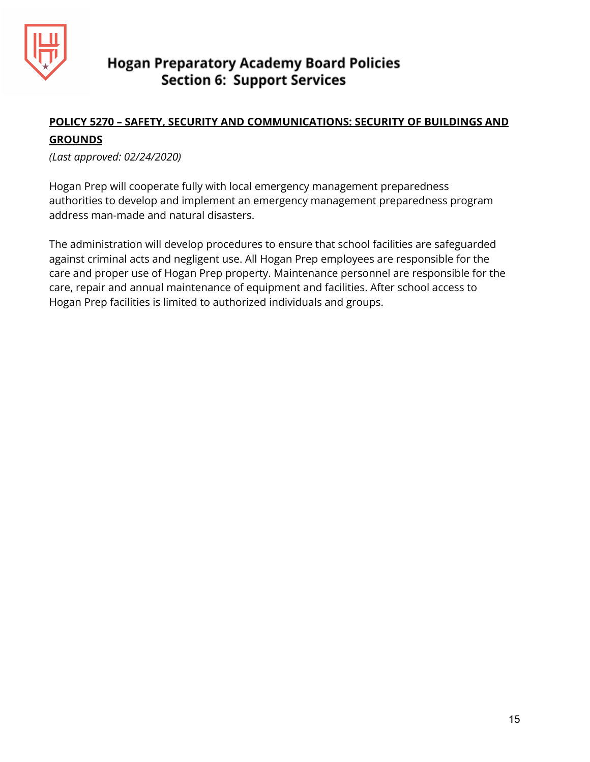

## **POLICY 5270 – SAFETY, SECURITY AND COMMUNICATIONS: SECURITY OF BUILDINGS AND GROUNDS**

*(Last approved: 02/24/2020)*

Hogan Prep will cooperate fully with local emergency management preparedness authorities to develop and implement an emergency management preparedness program address man-made and natural disasters.

The administration will develop procedures to ensure that school facilities are safeguarded against criminal acts and negligent use. All Hogan Prep employees are responsible for the care and proper use of Hogan Prep property. Maintenance personnel are responsible for the care, repair and annual maintenance of equipment and facilities. After school access to Hogan Prep facilities is limited to authorized individuals and groups.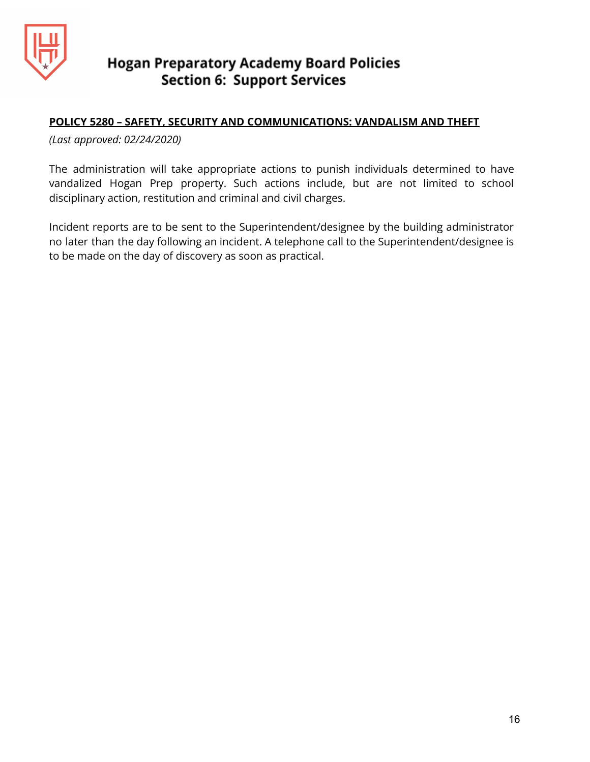

## **POLICY 5280 – SAFETY, SECURITY AND COMMUNICATIONS: VANDALISM AND THEFT**

*(Last approved: 02/24/2020)*

The administration will take appropriate actions to punish individuals determined to have vandalized Hogan Prep property. Such actions include, but are not limited to school disciplinary action, restitution and criminal and civil charges.

Incident reports are to be sent to the Superintendent/designee by the building administrator no later than the day following an incident. A telephone call to the Superintendent/designee is to be made on the day of discovery as soon as practical.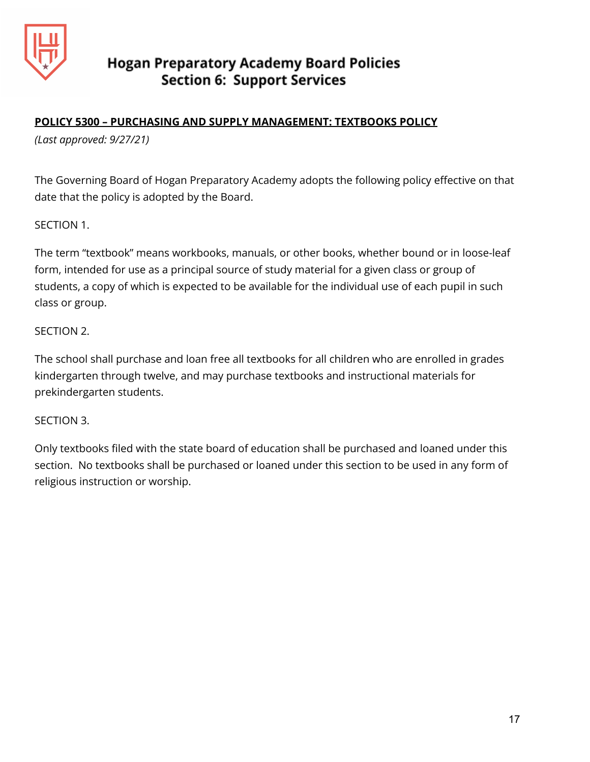

## **POLICY 5300 – PURCHASING AND SUPPLY MANAGEMENT: TEXTBOOKS POLICY**

*(Last approved: 9/27/21)*

The Governing Board of Hogan Preparatory Academy adopts the following policy effective on that date that the policy is adopted by the Board.

SECTION 1.

The term "textbook" means workbooks, manuals, or other books, whether bound or in loose-leaf form, intended for use as a principal source of study material for a given class or group of students, a copy of which is expected to be available for the individual use of each pupil in such class or group.

## SECTION 2.

The school shall purchase and loan free all textbooks for all children who are enrolled in grades kindergarten through twelve, and may purchase textbooks and instructional materials for prekindergarten students.

## SECTION 3.

Only textbooks filed with the state board of education shall be purchased and loaned under this section. No textbooks shall be purchased or loaned under this section to be used in any form of religious instruction or worship.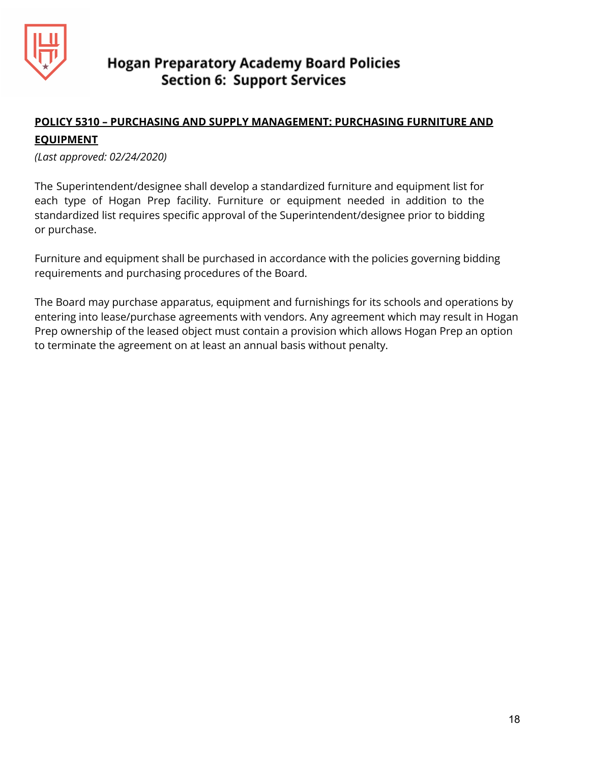

## **POLICY 5310 – PURCHASING AND SUPPLY MANAGEMENT: PURCHASING FURNITURE AND EQUIPMENT**

*(Last approved: 02/24/2020)*

The Superintendent/designee shall develop a standardized furniture and equipment list for each type of Hogan Prep facility. Furniture or equipment needed in addition to the standardized list requires specific approval of the Superintendent/designee prior to bidding or purchase.

Furniture and equipment shall be purchased in accordance with the policies governing bidding requirements and purchasing procedures of the Board.

The Board may purchase apparatus, equipment and furnishings for its schools and operations by entering into lease/purchase agreements with vendors. Any agreement which may result in Hogan Prep ownership of the leased object must contain a provision which allows Hogan Prep an option to terminate the agreement on at least an annual basis without penalty.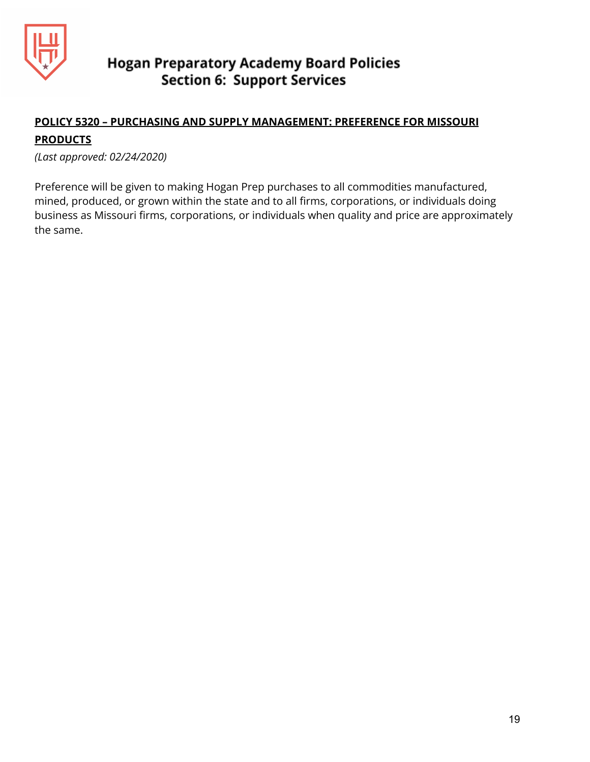

## **POLICY 5320 – PURCHASING AND SUPPLY MANAGEMENT: PREFERENCE FOR MISSOURI PRODUCTS**

*(Last approved: 02/24/2020)*

Preference will be given to making Hogan Prep purchases to all commodities manufactured, mined, produced, or grown within the state and to all firms, corporations, or individuals doing business as Missouri firms, corporations, or individuals when quality and price are approximately the same.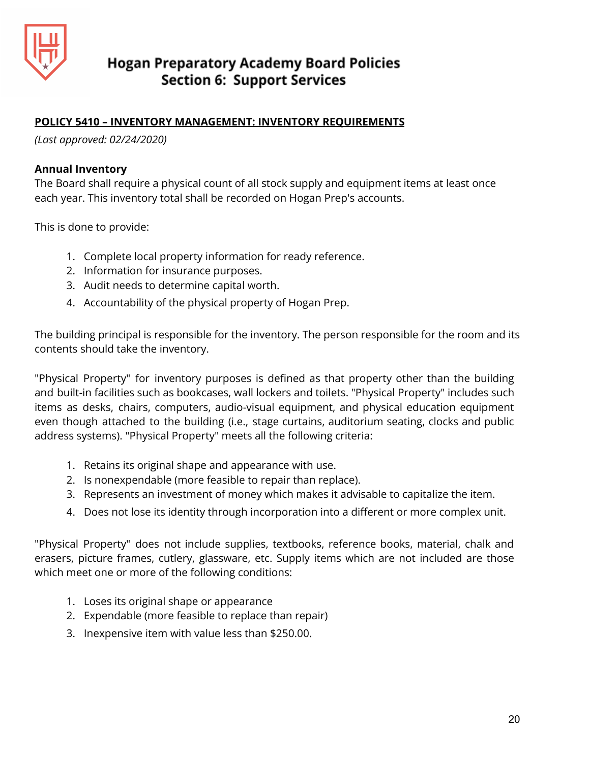

## **POLICY 5410 – INVENTORY MANAGEMENT: INVENTORY REQUIREMENTS**

*(Last approved: 02/24/2020)*

#### **Annual Inventory**

The Board shall require a physical count of all stock supply and equipment items at least once each year. This inventory total shall be recorded on Hogan Prep's accounts.

This is done to provide:

- 1. Complete local property information for ready reference.
- 2. Information for insurance purposes.
- 3. Audit needs to determine capital worth.
- 4. Accountability of the physical property of Hogan Prep.

The building principal is responsible for the inventory. The person responsible for the room and its contents should take the inventory.

"Physical Property" for inventory purposes is defined as that property other than the building and built-in facilities such as bookcases, wall lockers and toilets. "Physical Property" includes such items as desks, chairs, computers, audio-visual equipment, and physical education equipment even though attached to the building (i.e., stage curtains, auditorium seating, clocks and public address systems). "Physical Property" meets all the following criteria:

- 1. Retains its original shape and appearance with use.
- 2. Is nonexpendable (more feasible to repair than replace).
- 3. Represents an investment of money which makes it advisable to capitalize the item.
- 4. Does not lose its identity through incorporation into a different or more complex unit.

"Physical Property" does not include supplies, textbooks, reference books, material, chalk and erasers, picture frames, cutlery, glassware, etc. Supply items which are not included are those which meet one or more of the following conditions:

- 1. Loses its original shape or appearance
- 2. Expendable (more feasible to replace than repair)
- 3. Inexpensive item with value less than \$250.00.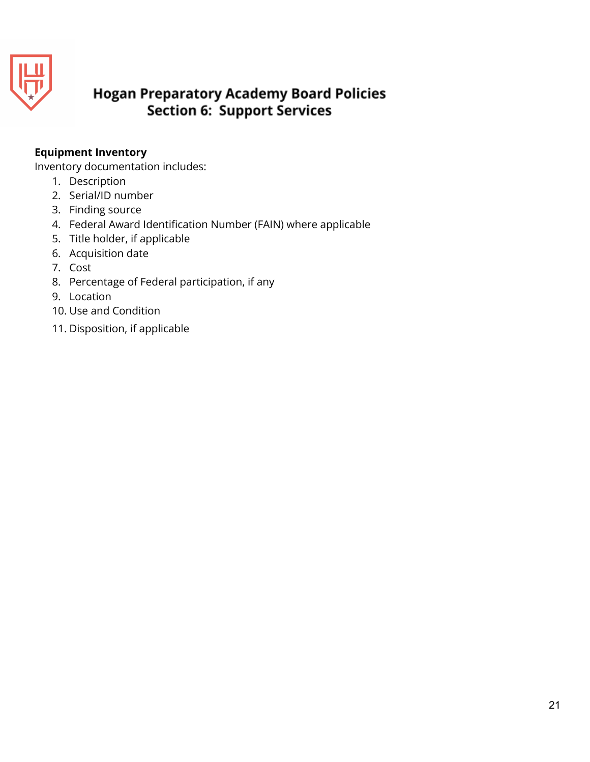

## **Equipment Inventory**

Inventory documentation includes:

- 1. Description
- 2. Serial/ID number
- 3. Finding source
- 4. Federal Award Identification Number (FAIN) where applicable
- 5. Title holder, if applicable
- 6. Acquisition date
- 7. Cost
- 8. Percentage of Federal participation, if any
- 9. Location
- 10. Use and Condition
- 11. Disposition, if applicable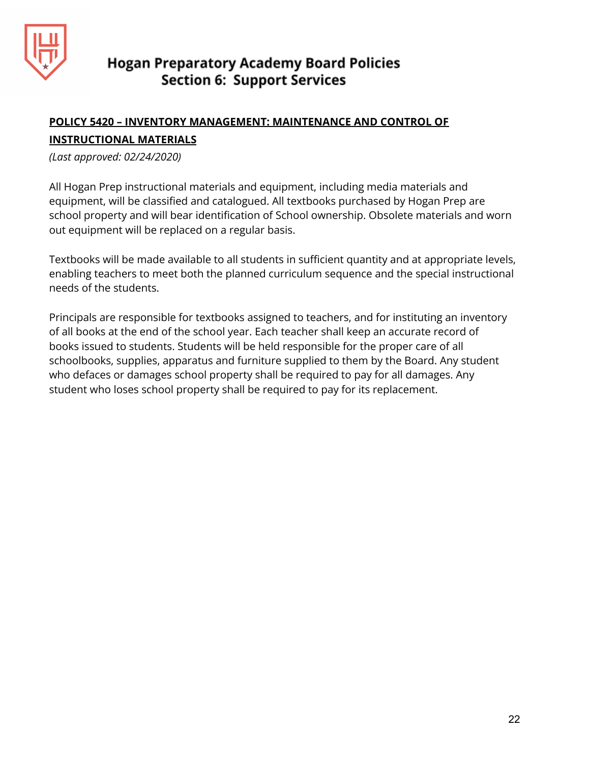

## **POLICY 5420 – INVENTORY MANAGEMENT: MAINTENANCE AND CONTROL OF**

## **INSTRUCTIONAL MATERIALS**

*(Last approved: 02/24/2020)*

All Hogan Prep instructional materials and equipment, including media materials and equipment, will be classified and catalogued. All textbooks purchased by Hogan Prep are school property and will bear identification of School ownership. Obsolete materials and worn out equipment will be replaced on a regular basis.

Textbooks will be made available to all students in sufficient quantity and at appropriate levels, enabling teachers to meet both the planned curriculum sequence and the special instructional needs of the students.

Principals are responsible for textbooks assigned to teachers, and for instituting an inventory of all books at the end of the school year. Each teacher shall keep an accurate record of books issued to students. Students will be held responsible for the proper care of all schoolbooks, supplies, apparatus and furniture supplied to them by the Board. Any student who defaces or damages school property shall be required to pay for all damages. Any student who loses school property shall be required to pay for its replacement.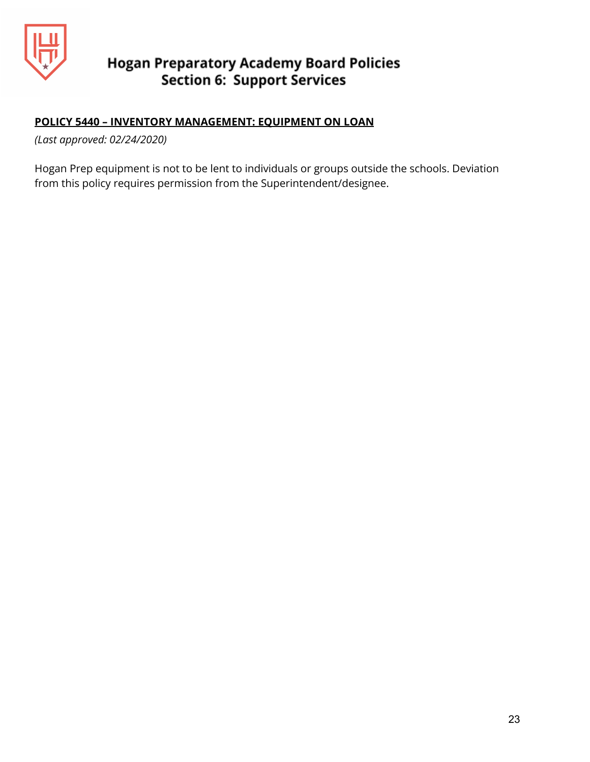

## **POLICY 5440 – INVENTORY MANAGEMENT: EQUIPMENT ON LOAN**

*(Last approved: 02/24/2020)*

Hogan Prep equipment is not to be lent to individuals or groups outside the schools. Deviation from this policy requires permission from the Superintendent/designee.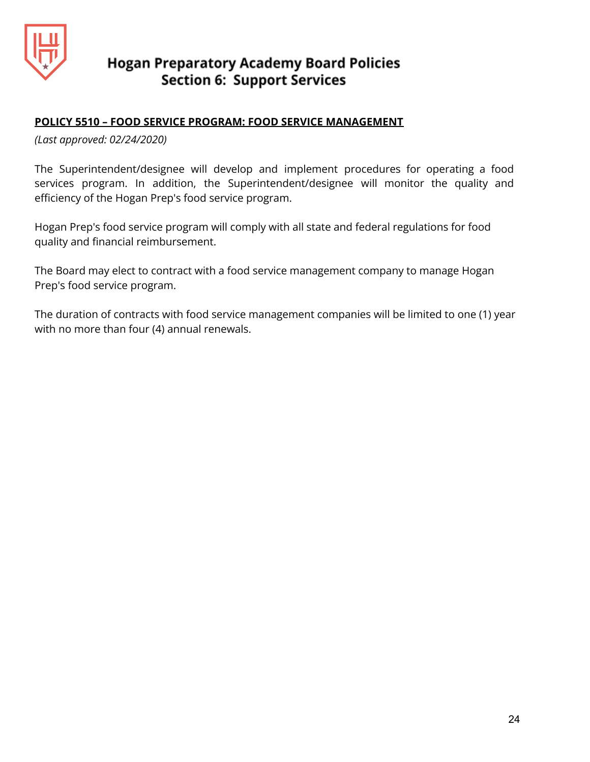

## **POLICY 5510 – FOOD SERVICE PROGRAM: FOOD SERVICE MANAGEMENT**

*(Last approved: 02/24/2020)*

The Superintendent/designee will develop and implement procedures for operating a food services program. In addition, the Superintendent/designee will monitor the quality and efficiency of the Hogan Prep's food service program.

Hogan Prep's food service program will comply with all state and federal regulations for food quality and financial reimbursement.

The Board may elect to contract with a food service management company to manage Hogan Prep's food service program.

The duration of contracts with food service management companies will be limited to one (1) year with no more than four (4) annual renewals.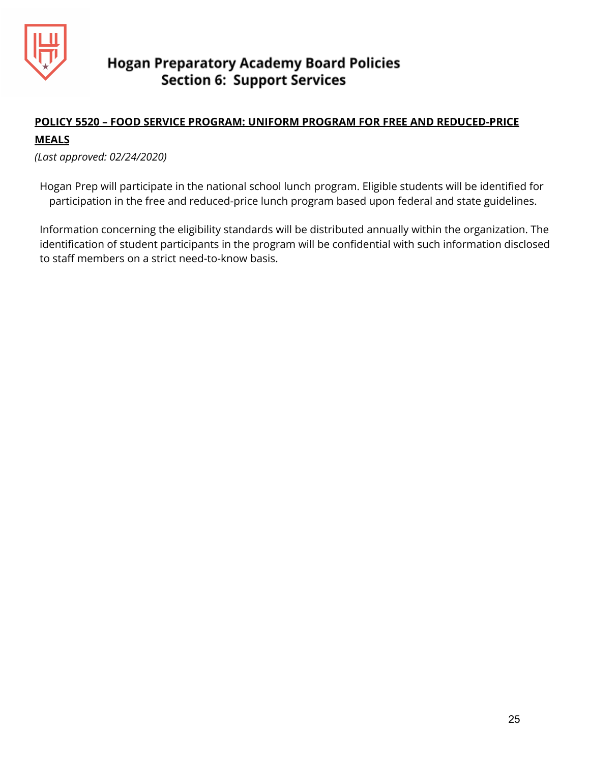

## **POLICY 5520 – FOOD SERVICE PROGRAM: UNIFORM PROGRAM FOR FREE AND REDUCED-PRICE**

## **MEALS**

*(Last approved: 02/24/2020)*

Hogan Prep will participate in the national school lunch program. Eligible students will be identified for participation in the free and reduced-price lunch program based upon federal and state guidelines.

Information concerning the eligibility standards will be distributed annually within the organization. The identification of student participants in the program will be confidential with such information disclosed to staff members on a strict need-to-know basis.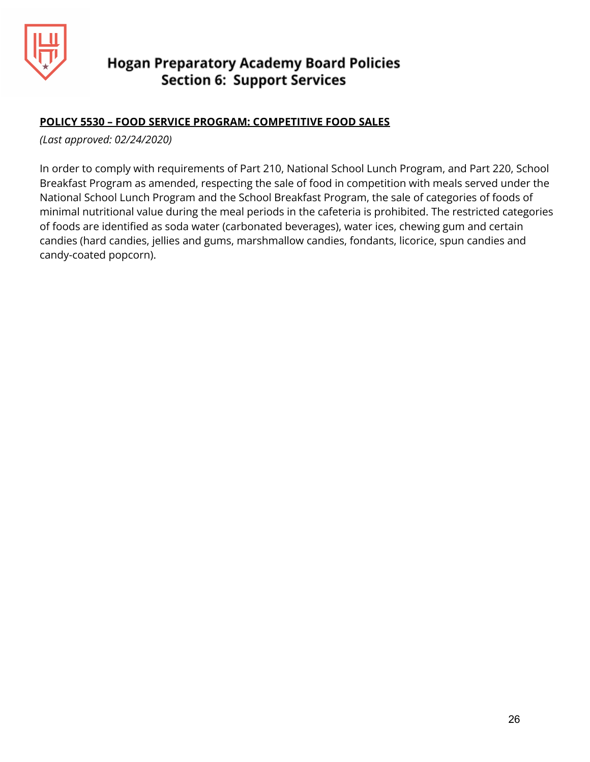

## **POLICY 5530 – FOOD SERVICE PROGRAM: COMPETITIVE FOOD SALES**

*(Last approved: 02/24/2020)*

In order to comply with requirements of Part 210, National School Lunch Program, and Part 220, School Breakfast Program as amended, respecting the sale of food in competition with meals served under the National School Lunch Program and the School Breakfast Program, the sale of categories of foods of minimal nutritional value during the meal periods in the cafeteria is prohibited. The restricted categories of foods are identified as soda water (carbonated beverages), water ices, chewing gum and certain candies (hard candies, jellies and gums, marshmallow candies, fondants, licorice, spun candies and candy-coated popcorn).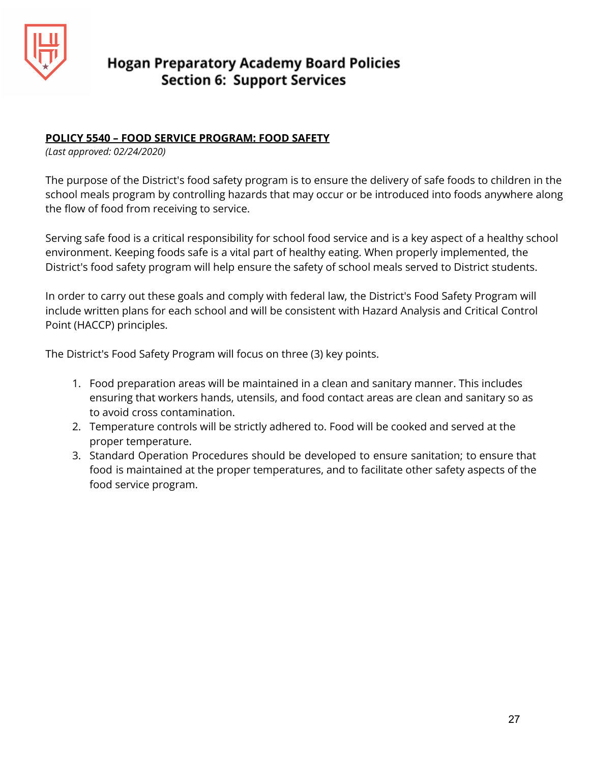

## **POLICY 5540 – FOOD SERVICE PROGRAM: FOOD SAFETY**

*(Last approved: 02/24/2020)*

The purpose of the District's food safety program is to ensure the delivery of safe foods to children in the school meals program by controlling hazards that may occur or be introduced into foods anywhere along the flow of food from receiving to service.

Serving safe food is a critical responsibility for school food service and is a key aspect of a healthy school environment. Keeping foods safe is a vital part of healthy eating. When properly implemented, the District's food safety program will help ensure the safety of school meals served to District students.

In order to carry out these goals and comply with federal law, the District's Food Safety Program will include written plans for each school and will be consistent with Hazard Analysis and Critical Control Point (HACCP) principles.

The District's Food Safety Program will focus on three (3) key points.

- 1. Food preparation areas will be maintained in a clean and sanitary manner. This includes ensuring that workers hands, utensils, and food contact areas are clean and sanitary so as to avoid cross contamination.
- 2. Temperature controls will be strictly adhered to. Food will be cooked and served at the proper temperature.
- 3. Standard Operation Procedures should be developed to ensure sanitation; to ensure that food is maintained at the proper temperatures, and to facilitate other safety aspects of the food service program.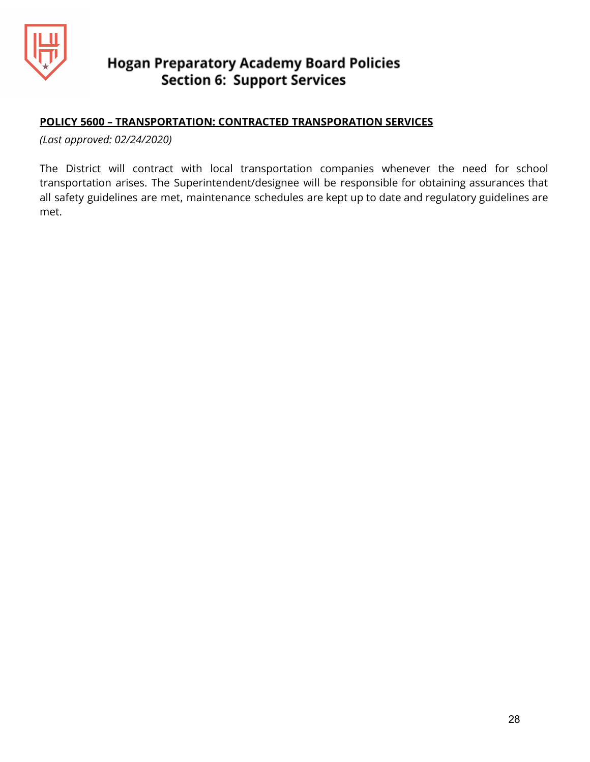

## **POLICY 5600 – TRANSPORTATION: CONTRACTED TRANSPORATION SERVICES**

*(Last approved: 02/24/2020)*

The District will contract with local transportation companies whenever the need for school transportation arises. The Superintendent/designee will be responsible for obtaining assurances that all safety guidelines are met, maintenance schedules are kept up to date and regulatory guidelines are met.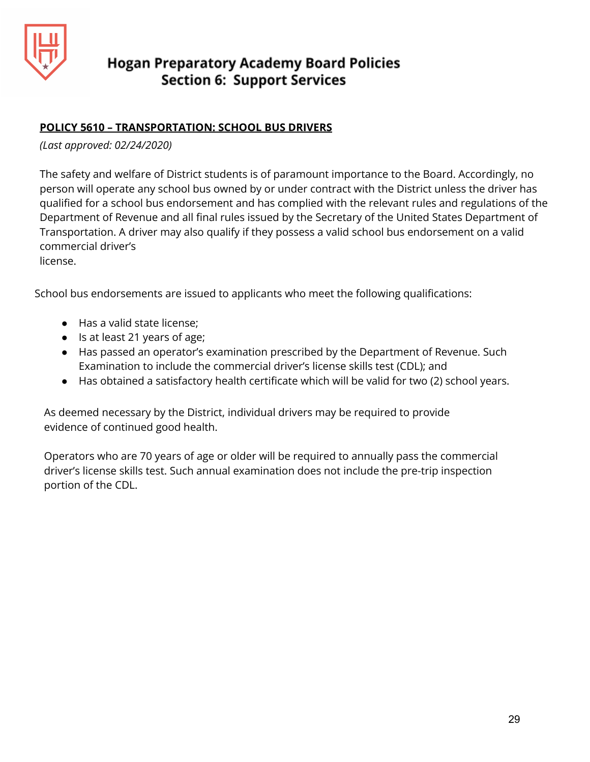

## **POLICY 5610 – TRANSPORTATION: SCHOOL BUS DRIVERS**

## *(Last approved: 02/24/2020)*

The safety and welfare of District students is of paramount importance to the Board. Accordingly, no person will operate any school bus owned by or under contract with the District unless the driver has qualified for a school bus endorsement and has complied with the relevant rules and regulations of the Department of Revenue and all final rules issued by the Secretary of the United States Department of Transportation. A driver may also qualify if they possess a valid school bus endorsement on a valid commercial driver's

license.

School bus endorsements are issued to applicants who meet the following qualifications:

- Has a valid state license;
- Is at least 21 years of age;
- Has passed an operator's examination prescribed by the Department of Revenue. Such Examination to include the commercial driver's license skills test (CDL); and
- Has obtained a satisfactory health certificate which will be valid for two (2) school years.

As deemed necessary by the District, individual drivers may be required to provide evidence of continued good health.

Operators who are 70 years of age or older will be required to annually pass the commercial driver's license skills test. Such annual examination does not include the pre-trip inspection portion of the CDL.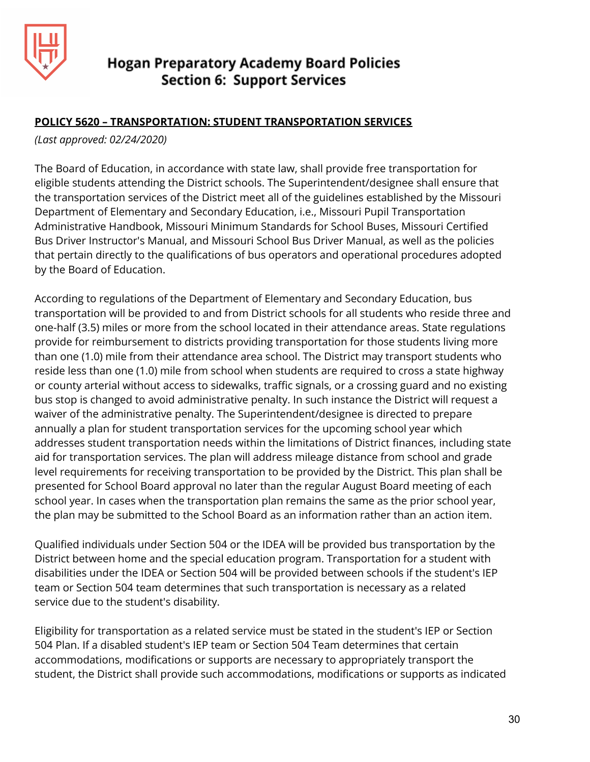

## **POLICY 5620 – TRANSPORTATION: STUDENT TRANSPORTATION SERVICES**

*(Last approved: 02/24/2020)*

The Board of Education, in accordance with state law, shall provide free transportation for eligible students attending the District schools. The Superintendent/designee shall ensure that the transportation services of the District meet all of the guidelines established by the Missouri Department of Elementary and Secondary Education, i.e., Missouri Pupil Transportation Administrative Handbook, Missouri Minimum Standards for School Buses, Missouri Certified Bus Driver Instructor's Manual, and Missouri School Bus Driver Manual, as well as the policies that pertain directly to the qualifications of bus operators and operational procedures adopted by the Board of Education.

According to regulations of the Department of Elementary and Secondary Education, bus transportation will be provided to and from District schools for all students who reside three and one-half (3.5) miles or more from the school located in their attendance areas. State regulations provide for reimbursement to districts providing transportation for those students living more than one (1.0) mile from their attendance area school. The District may transport students who reside less than one (1.0) mile from school when students are required to cross a state highway or county arterial without access to sidewalks, traffic signals, or a crossing guard and no existing bus stop is changed to avoid administrative penalty. In such instance the District will request a waiver of the administrative penalty. The Superintendent/designee is directed to prepare annually a plan for student transportation services for the upcoming school year which addresses student transportation needs within the limitations of District finances, including state aid for transportation services. The plan will address mileage distance from school and grade level requirements for receiving transportation to be provided by the District. This plan shall be presented for School Board approval no later than the regular August Board meeting of each school year. In cases when the transportation plan remains the same as the prior school year, the plan may be submitted to the School Board as an information rather than an action item.

Qualified individuals under Section 504 or the IDEA will be provided bus transportation by the District between home and the special education program. Transportation for a student with disabilities under the IDEA or Section 504 will be provided between schools if the student's IEP team or Section 504 team determines that such transportation is necessary as a related service due to the student's disability.

Eligibility for transportation as a related service must be stated in the student's IEP or Section 504 Plan. If a disabled student's IEP team or Section 504 Team determines that certain accommodations, modifications or supports are necessary to appropriately transport the student, the District shall provide such accommodations, modifications or supports as indicated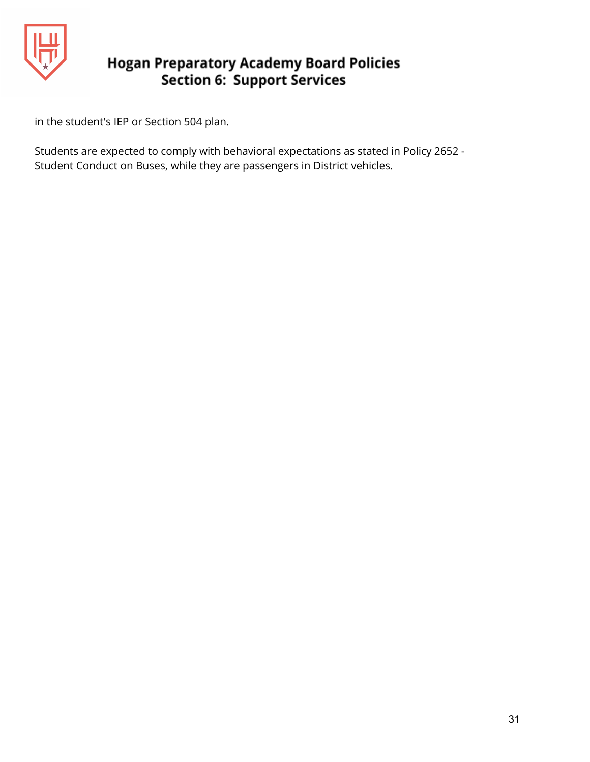

in the student's IEP or Section 504 plan.

Students are expected to comply with behavioral expectations as stated in Policy 2652 - Student Conduct on Buses, while they are passengers in District vehicles.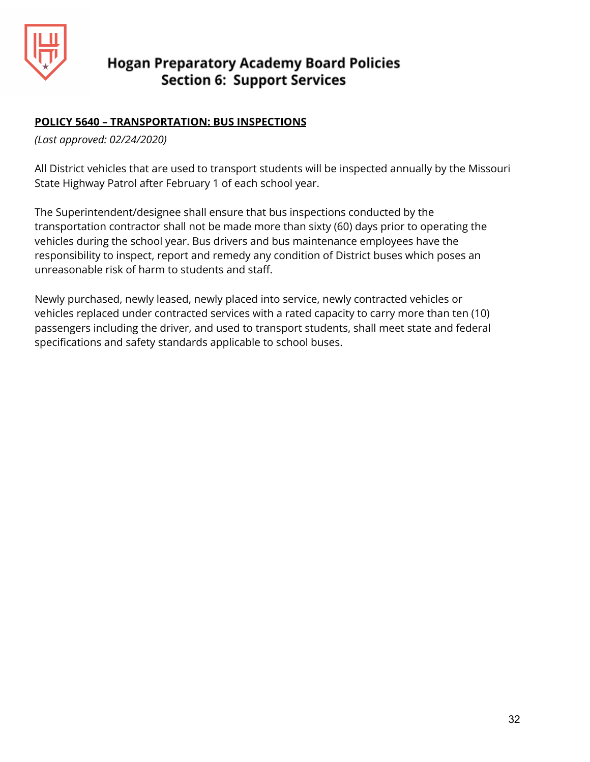

## **POLICY 5640 – TRANSPORTATION: BUS INSPECTIONS**

*(Last approved: 02/24/2020)*

All District vehicles that are used to transport students will be inspected annually by the Missouri State Highway Patrol after February 1 of each school year.

The Superintendent/designee shall ensure that bus inspections conducted by the transportation contractor shall not be made more than sixty (60) days prior to operating the vehicles during the school year. Bus drivers and bus maintenance employees have the responsibility to inspect, report and remedy any condition of District buses which poses an unreasonable risk of harm to students and staff.

Newly purchased, newly leased, newly placed into service, newly contracted vehicles or vehicles replaced under contracted services with a rated capacity to carry more than ten (10) passengers including the driver, and used to transport students, shall meet state and federal specifications and safety standards applicable to school buses.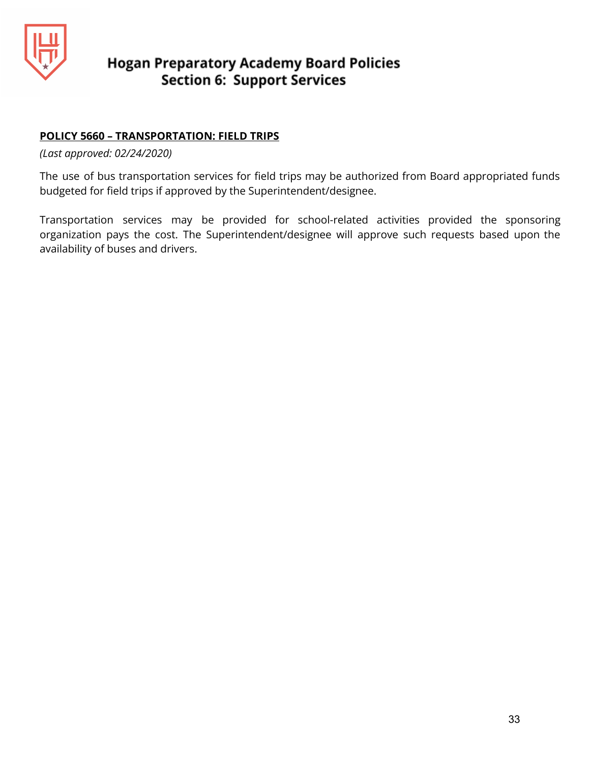

## **POLICY 5660 – TRANSPORTATION: FIELD TRIPS**

*(Last approved: 02/24/2020)*

The use of bus transportation services for field trips may be authorized from Board appropriated funds budgeted for field trips if approved by the Superintendent/designee.

Transportation services may be provided for school-related activities provided the sponsoring organization pays the cost. The Superintendent/designee will approve such requests based upon the availability of buses and drivers.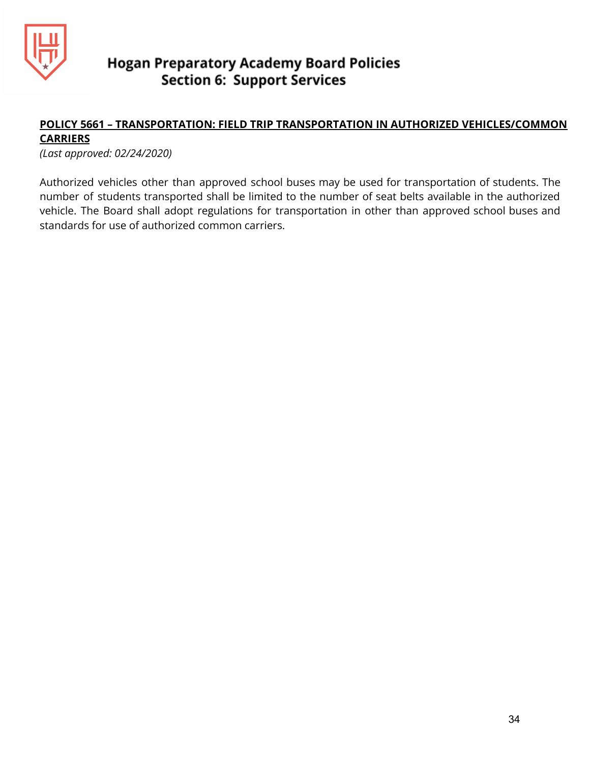

## **POLICY 5661 – TRANSPORTATION: FIELD TRIP TRANSPORTATION IN AUTHORIZED VEHICLES/COMMON CARRIERS**

*(Last approved: 02/24/2020)*

Authorized vehicles other than approved school buses may be used for transportation of students. The number of students transported shall be limited to the number of seat belts available in the authorized vehicle. The Board shall adopt regulations for transportation in other than approved school buses and standards for use of authorized common carriers.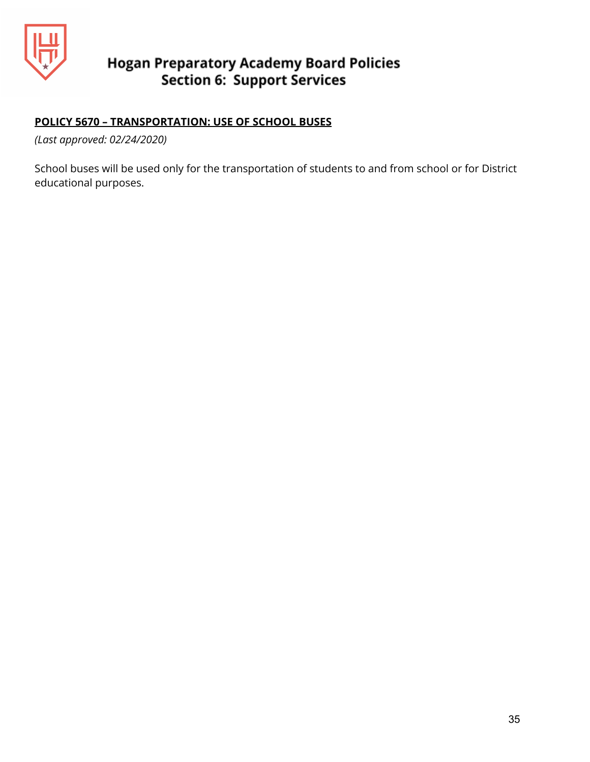

## **POLICY 5670 – TRANSPORTATION: USE OF SCHOOL BUSES**

*(Last approved: 02/24/2020)*

School buses will be used only for the transportation of students to and from school or for District educational purposes.